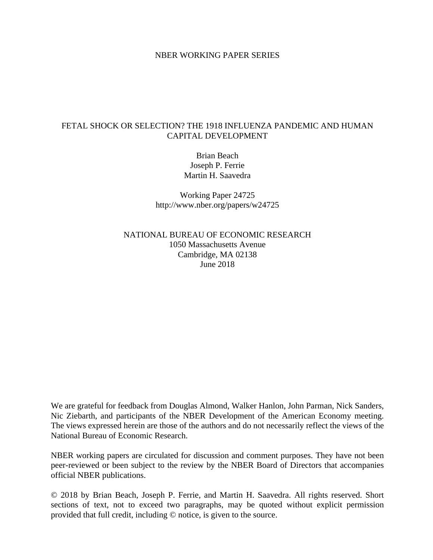#### NBER WORKING PAPER SERIES

#### FETAL SHOCK OR SELECTION? THE 1918 INFLUENZA PANDEMIC AND HUMAN CAPITAL DEVELOPMENT

Brian Beach Joseph P. Ferrie Martin H. Saavedra

Working Paper 24725 http://www.nber.org/papers/w24725

NATIONAL BUREAU OF ECONOMIC RESEARCH 1050 Massachusetts Avenue Cambridge, MA 02138 June 2018

We are grateful for feedback from Douglas Almond, Walker Hanlon, John Parman, Nick Sanders, Nic Ziebarth, and participants of the NBER Development of the American Economy meeting. The views expressed herein are those of the authors and do not necessarily reflect the views of the National Bureau of Economic Research.

NBER working papers are circulated for discussion and comment purposes. They have not been peer-reviewed or been subject to the review by the NBER Board of Directors that accompanies official NBER publications.

© 2018 by Brian Beach, Joseph P. Ferrie, and Martin H. Saavedra. All rights reserved. Short sections of text, not to exceed two paragraphs, may be quoted without explicit permission provided that full credit, including © notice, is given to the source.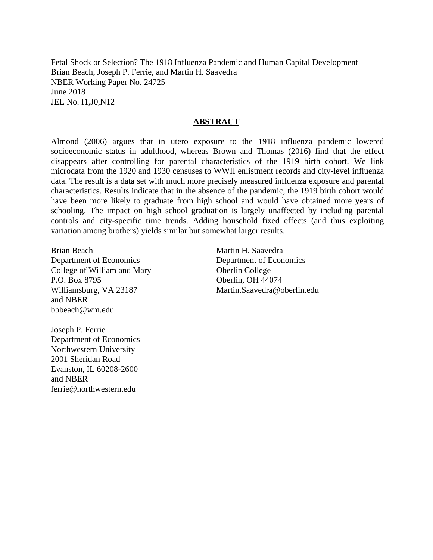Fetal Shock or Selection? The 1918 Influenza Pandemic and Human Capital Development Brian Beach, Joseph P. Ferrie, and Martin H. Saavedra NBER Working Paper No. 24725 June 2018 JEL No. I1,J0,N12

#### **ABSTRACT**

Almond (2006) argues that in utero exposure to the 1918 influenza pandemic lowered socioeconomic status in adulthood, whereas Brown and Thomas (2016) find that the effect disappears after controlling for parental characteristics of the 1919 birth cohort. We link microdata from the 1920 and 1930 censuses to WWII enlistment records and city-level influenza data. The result is a data set with much more precisely measured influenza exposure and parental characteristics. Results indicate that in the absence of the pandemic, the 1919 birth cohort would have been more likely to graduate from high school and would have obtained more years of schooling. The impact on high school graduation is largely unaffected by including parental controls and city-specific time trends. Adding household fixed effects (and thus exploiting variation among brothers) yields similar but somewhat larger results.

Brian Beach Department of Economics College of William and Mary P.O. Box 8795 Williamsburg, VA 23187 and NBER bbbeach@wm.edu

Martin H. Saavedra Department of Economics Oberlin College Oberlin, OH 44074 Martin.Saavedra@oberlin.edu

Joseph P. Ferrie Department of Economics Northwestern University 2001 Sheridan Road Evanston, IL 60208-2600 and NBER ferrie@northwestern.edu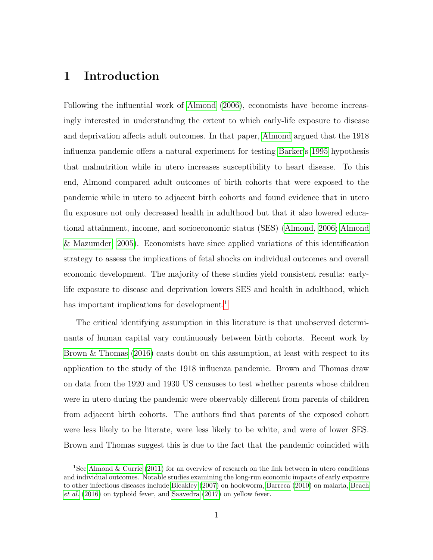### 1 Introduction

Following the influential work of [Almond \(2006\)](#page-36-0), economists have become increasingly interested in understanding the extent to which early-life exposure to disease and deprivation affects adult outcomes. In that paper, [Almond](#page-36-0) argued that the 1918 influenza pandemic offers a natural experiment for testing [Barker'](#page-36-1)s [1995](#page-36-1) hypothesis that malnutrition while in utero increases susceptibility to heart disease. To this end, Almond compared adult outcomes of birth cohorts that were exposed to the pandemic while in utero to adjacent birth cohorts and found evidence that in utero flu exposure not only decreased health in adulthood but that it also lowered educational attainment, income, and socioeconomic status (SES) [\(Almond, 2006;](#page-36-0) [Almond](#page-36-2) [& Mazumder, 2005\)](#page-36-2). Economists have since applied variations of this identification strategy to assess the implications of fetal shocks on individual outcomes and overall economic development. The majority of these studies yield consistent results: earlylife exposure to disease and deprivation lowers SES and health in adulthood, which has important implications for development.<sup>[1](#page--1-0)</sup>

The critical identifying assumption in this literature is that unobserved determinants of human capital vary continuously between birth cohorts. Recent work by [Brown & Thomas \(2016\)](#page-36-3) casts doubt on this assumption, at least with respect to its application to the study of the 1918 influenza pandemic. Brown and Thomas draw on data from the 1920 and 1930 US censuses to test whether parents whose children were in utero during the pandemic were observably different from parents of children from adjacent birth cohorts. The authors find that parents of the exposed cohort were less likely to be literate, were less likely to be white, and were of lower SES. Brown and Thomas suggest this is due to the fact that the pandemic coincided with

<sup>&</sup>lt;sup>1</sup>See [Almond & Currie](#page-36-4) [\(2011\)](#page-36-4) for an overview of research on the link between in utero conditions and individual outcomes. Notable studies examining the long-run economic impacts of early exposure to other infectious diseases include [Bleakley](#page-36-5) [\(2007\)](#page-36-5) on hookworm, [Barreca](#page-36-6) [\(2010\)](#page-36-6) on malaria, [Beach](#page-36-7) [et al.](#page-36-7) [\(2016\)](#page-36-7) on typhoid fever, and [Saavedra](#page-37-0) [\(2017\)](#page-37-0) on yellow fever.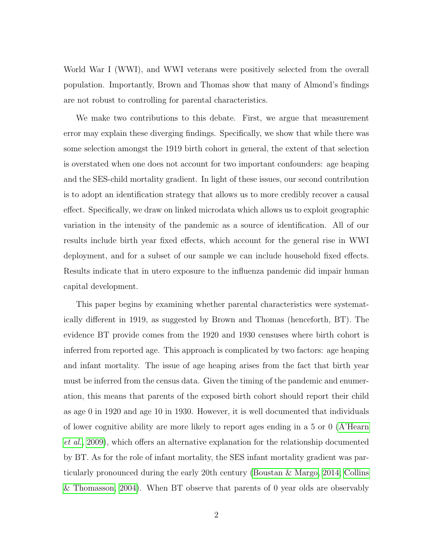World War I (WWI), and WWI veterans were positively selected from the overall population. Importantly, Brown and Thomas show that many of Almond's findings are not robust to controlling for parental characteristics.

We make two contributions to this debate. First, we argue that measurement error may explain these diverging findings. Specifically, we show that while there was some selection amongst the 1919 birth cohort in general, the extent of that selection is overstated when one does not account for two important confounders: age heaping and the SES-child mortality gradient. In light of these issues, our second contribution is to adopt an identification strategy that allows us to more credibly recover a causal effect. Specifically, we draw on linked microdata which allows us to exploit geographic variation in the intensity of the pandemic as a source of identification. All of our results include birth year fixed effects, which account for the general rise in WWI deployment, and for a subset of our sample we can include household fixed effects. Results indicate that in utero exposure to the influenza pandemic did impair human capital development.

This paper begins by examining whether parental characteristics were systematically different in 1919, as suggested by Brown and Thomas (henceforth, BT). The evidence BT provide comes from the 1920 and 1930 censuses where birth cohort is inferred from reported age. This approach is complicated by two factors: age heaping and infant mortality. The issue of age heaping arises from the fact that birth year must be inferred from the census data. Given the timing of the pandemic and enumeration, this means that parents of the exposed birth cohort should report their child as age 0 in 1920 and age 10 in 1930. However, it is well documented that individuals of lower cognitive ability are more likely to report ages ending in a 5 or 0 [\(A'Hearn](#page-35-0) [et al.](#page-35-0), [2009\)](#page-35-0), which offers an alternative explanation for the relationship documented by BT. As for the role of infant mortality, the SES infant mortality gradient was particularly pronounced during the early 20th century [\(Boustan & Margo, 2014;](#page-36-8) [Collins](#page-36-9) [& Thomasson, 2004\)](#page-36-9). When BT observe that parents of 0 year olds are observably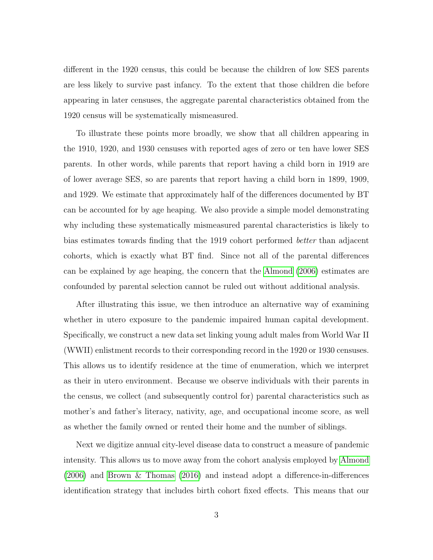different in the 1920 census, this could be because the children of low SES parents are less likely to survive past infancy. To the extent that those children die before appearing in later censuses, the aggregate parental characteristics obtained from the 1920 census will be systematically mismeasured.

To illustrate these points more broadly, we show that all children appearing in the 1910, 1920, and 1930 censuses with reported ages of zero or ten have lower SES parents. In other words, while parents that report having a child born in 1919 are of lower average SES, so are parents that report having a child born in 1899, 1909, and 1929. We estimate that approximately half of the differences documented by BT can be accounted for by age heaping. We also provide a simple model demonstrating why including these systematically mismeasured parental characteristics is likely to bias estimates towards finding that the 1919 cohort performed better than adjacent cohorts, which is exactly what BT find. Since not all of the parental differences can be explained by age heaping, the concern that the [Almond \(2006\)](#page-36-0) estimates are confounded by parental selection cannot be ruled out without additional analysis.

After illustrating this issue, we then introduce an alternative way of examining whether in utero exposure to the pandemic impaired human capital development. Specifically, we construct a new data set linking young adult males from World War II (WWII) enlistment records to their corresponding record in the 1920 or 1930 censuses. This allows us to identify residence at the time of enumeration, which we interpret as their in utero environment. Because we observe individuals with their parents in the census, we collect (and subsequently control for) parental characteristics such as mother's and father's literacy, nativity, age, and occupational income score, as well as whether the family owned or rented their home and the number of siblings.

Next we digitize annual city-level disease data to construct a measure of pandemic intensity. This allows us to move away from the cohort analysis employed by [Almond](#page-36-0) [\(2006\)](#page-36-0) and [Brown & Thomas \(2016\)](#page-36-3) and instead adopt a difference-in-differences identification strategy that includes birth cohort fixed effects. This means that our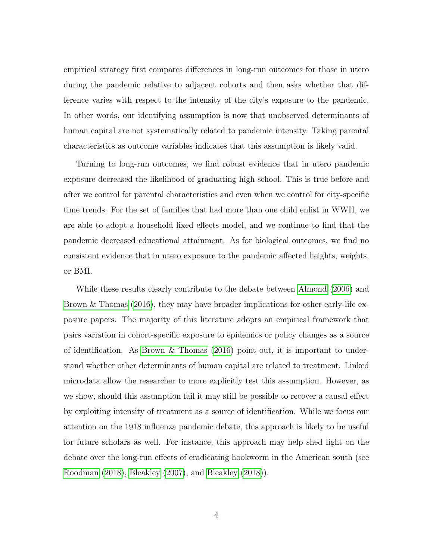empirical strategy first compares differences in long-run outcomes for those in utero during the pandemic relative to adjacent cohorts and then asks whether that difference varies with respect to the intensity of the city's exposure to the pandemic. In other words, our identifying assumption is now that unobserved determinants of human capital are not systematically related to pandemic intensity. Taking parental characteristics as outcome variables indicates that this assumption is likely valid.

Turning to long-run outcomes, we find robust evidence that in utero pandemic exposure decreased the likelihood of graduating high school. This is true before and after we control for parental characteristics and even when we control for city-specific time trends. For the set of families that had more than one child enlist in WWII, we are able to adopt a household fixed effects model, and we continue to find that the pandemic decreased educational attainment. As for biological outcomes, we find no consistent evidence that in utero exposure to the pandemic affected heights, weights, or BMI.

While these results clearly contribute to the debate between [Almond \(2006\)](#page-36-0) and [Brown & Thomas \(2016\)](#page-36-3), they may have broader implications for other early-life exposure papers. The majority of this literature adopts an empirical framework that pairs variation in cohort-specific exposure to epidemics or policy changes as a source of identification. As [Brown & Thomas \(2016\)](#page-36-3) point out, it is important to understand whether other determinants of human capital are related to treatment. Linked microdata allow the researcher to more explicitly test this assumption. However, as we show, should this assumption fail it may still be possible to recover a causal effect by exploiting intensity of treatment as a source of identification. While we focus our attention on the 1918 influenza pandemic debate, this approach is likely to be useful for future scholars as well. For instance, this approach may help shed light on the debate over the long-run effects of eradicating hookworm in the American south (see [Roodman \(2018\)](#page-37-1), [Bleakley \(2007\)](#page-36-5), and [Bleakley \(2018\)](#page-36-10)).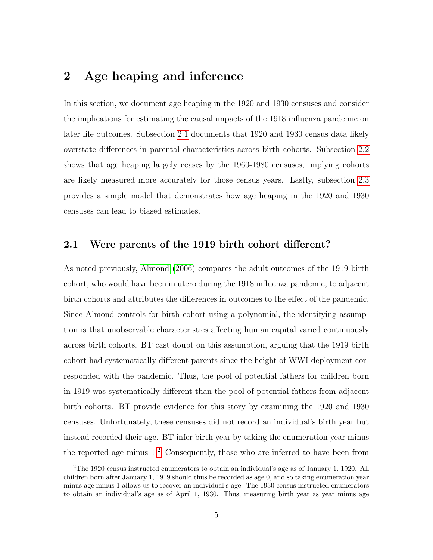### 2 Age heaping and inference

In this section, we document age heaping in the 1920 and 1930 censuses and consider the implications for estimating the causal impacts of the 1918 influenza pandemic on later life outcomes. Subsection [2.1](#page-6-0) documents that 1920 and 1930 census data likely overstate differences in parental characteristics across birth cohorts. Subsection [2.2](#page-9-0) shows that age heaping largely ceases by the 1960-1980 censuses, implying cohorts are likely measured more accurately for those census years. Lastly, subsection [2.3](#page-11-0) provides a simple model that demonstrates how age heaping in the 1920 and 1930 censuses can lead to biased estimates.

#### <span id="page-6-0"></span>2.1 Were parents of the 1919 birth cohort different?

As noted previously, [Almond \(2006\)](#page-36-0) compares the adult outcomes of the 1919 birth cohort, who would have been in utero during the 1918 influenza pandemic, to adjacent birth cohorts and attributes the differences in outcomes to the effect of the pandemic. Since Almond controls for birth cohort using a polynomial, the identifying assumption is that unobservable characteristics affecting human capital varied continuously across birth cohorts. BT cast doubt on this assumption, arguing that the 1919 birth cohort had systematically different parents since the height of WWI deployment corresponded with the pandemic. Thus, the pool of potential fathers for children born in 1919 was systematically different than the pool of potential fathers from adjacent birth cohorts. BT provide evidence for this story by examining the 1920 and 1930 censuses. Unfortunately, these censuses did not record an individual's birth year but instead recorded their age. BT infer birth year by taking the enumeration year minus the reported age minus  $1<sup>2</sup>$  $1<sup>2</sup>$  $1<sup>2</sup>$  Consequently, those who are inferred to have been from

<sup>2</sup>The 1920 census instructed enumerators to obtain an individual's age as of January 1, 1920. All children born after January 1, 1919 should thus be recorded as age 0, and so taking enumeration year minus age minus 1 allows us to recover an individual's age. The 1930 census instructed enumerators to obtain an individual's age as of April 1, 1930. Thus, measuring birth year as year minus age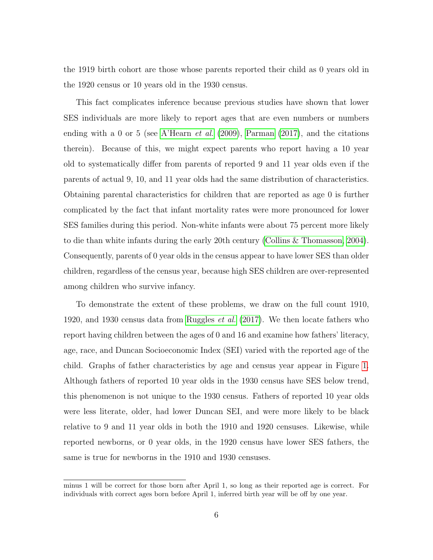the 1919 birth cohort are those whose parents reported their child as 0 years old in the 1920 census or 10 years old in the 1930 census.

This fact complicates inference because previous studies have shown that lower SES individuals are more likely to report ages that are even numbers or numbers ending with a 0 or 5 (see [A'Hearn](#page-35-0) *et al.* [\(2009\)](#page-35-0), [Parman \(2017\)](#page-37-2), and the citations therein). Because of this, we might expect parents who report having a 10 year old to systematically differ from parents of reported 9 and 11 year olds even if the parents of actual 9, 10, and 11 year olds had the same distribution of characteristics. Obtaining parental characteristics for children that are reported as age 0 is further complicated by the fact that infant mortality rates were more pronounced for lower SES families during this period. Non-white infants were about 75 percent more likely to die than white infants during the early 20th century [\(Collins & Thomasson, 2004\)](#page-36-9). Consequently, parents of 0 year olds in the census appear to have lower SES than older children, regardless of the census year, because high SES children are over-represented among children who survive infancy.

To demonstrate the extent of these problems, we draw on the full count 1910, 1920, and 1930 census data from [Ruggles](#page-37-3) *et al.* [\(2017\)](#page-37-3). We then locate fathers who report having children between the ages of 0 and 16 and examine how fathers' literacy, age, race, and Duncan Socioeconomic Index (SEI) varied with the reported age of the child. Graphs of father characteristics by age and census year appear in Figure [1.](#page-8-0) Although fathers of reported 10 year olds in the 1930 census have SES below trend, this phenomenon is not unique to the 1930 census. Fathers of reported 10 year olds were less literate, older, had lower Duncan SEI, and were more likely to be black relative to 9 and 11 year olds in both the 1910 and 1920 censuses. Likewise, while reported newborns, or 0 year olds, in the 1920 census have lower SES fathers, the same is true for newborns in the 1910 and 1930 censuses.

minus 1 will be correct for those born after April 1, so long as their reported age is correct. For individuals with correct ages born before April 1, inferred birth year will be off by one year.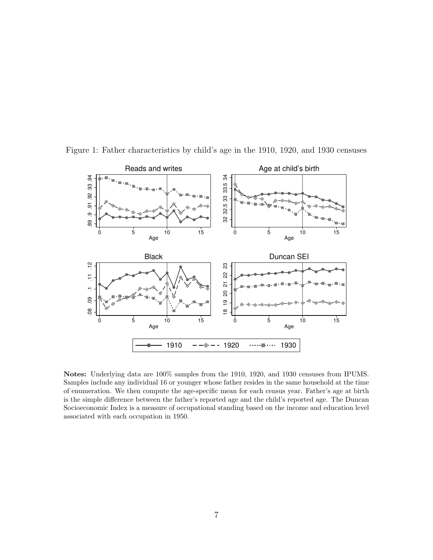<span id="page-8-0"></span>

Figure 1: Father characteristics by child's age in the 1910, 1920, and 1930 censuses

Notes: Underlying data are 100% samples from the 1910, 1920, and 1930 censuses from IPUMS. Samples include any individual 16 or younger whose father resides in the same household at the time of enumeration. We then compute the age-specific mean for each census year. Father's age at birth is the simple difference between the father's reported age and the child's reported age. The Duncan Socioeconomic Index is a measure of occupational standing based on the income and education level associated with each occupation in 1950.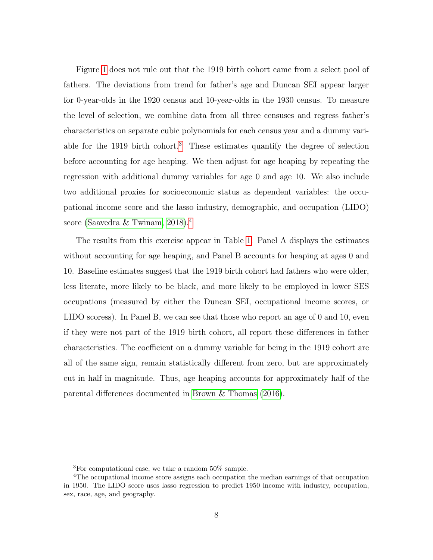Figure [1](#page-8-0) does not rule out that the 1919 birth cohort came from a select pool of fathers. The deviations from trend for father's age and Duncan SEI appear larger for 0-year-olds in the 1920 census and 10-year-olds in the 1930 census. To measure the level of selection, we combine data from all three censuses and regress father's characteristics on separate cubic polynomials for each census year and a dummy vari-able for the 1919 birth cohort.<sup>[3](#page--1-0)</sup> These estimates quantify the degree of selection before accounting for age heaping. We then adjust for age heaping by repeating the regression with additional dummy variables for age 0 and age 10. We also include two additional proxies for socioeconomic status as dependent variables: the occupational income score and the lasso industry, demographic, and occupation (LIDO) score [\(Saavedra & Twinam, 2018\)](#page-37-4).[4](#page--1-0)

The results from this exercise appear in Table [1.](#page-10-0) Panel A displays the estimates without accounting for age heaping, and Panel B accounts for heaping at ages 0 and 10. Baseline estimates suggest that the 1919 birth cohort had fathers who were older, less literate, more likely to be black, and more likely to be employed in lower SES occupations (measured by either the Duncan SEI, occupational income scores, or LIDO scoress). In Panel B, we can see that those who report an age of 0 and 10, even if they were not part of the 1919 birth cohort, all report these differences in father characteristics. The coefficient on a dummy variable for being in the 1919 cohort are all of the same sign, remain statistically different from zero, but are approximately cut in half in magnitude. Thus, age heaping accounts for approximately half of the parental differences documented in [Brown & Thomas \(2016\)](#page-36-3).

<span id="page-9-0"></span><sup>3</sup>For computational ease, we take a random 50% sample.

<sup>4</sup>The occupational income score assigns each occupation the median earnings of that occupation in 1950. The LIDO score uses lasso regression to predict 1950 income with industry, occupation, sex, race, age, and geography.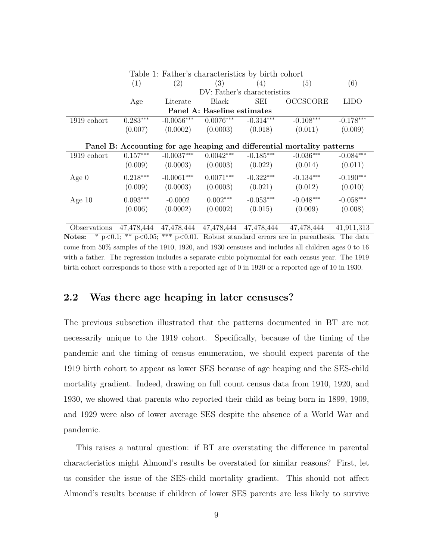<span id="page-10-0"></span>

| Table 1: Father's characteristics by birth cohort                       |                              |              |              |             |             |             |  |  |
|-------------------------------------------------------------------------|------------------------------|--------------|--------------|-------------|-------------|-------------|--|--|
|                                                                         | (1)                          | (2)          | (3)          | (4)         | (5)         | (6)         |  |  |
|                                                                         | DV: Father's characteristics |              |              |             |             |             |  |  |
|                                                                         | Age                          | Literate     | <b>Black</b> | SEI         | OCCSCORE    | <b>LIDO</b> |  |  |
|                                                                         | Panel A: Baseline estimates  |              |              |             |             |             |  |  |
| $1919$ cohort                                                           | $0.283***$                   | $-0.0056***$ | $0.0076***$  | $-0.314***$ | $-0.108***$ | $-0.178***$ |  |  |
|                                                                         | (0.007)                      | (0.0002)     | (0.0003)     | (0.018)     | (0.011)     | (0.009)     |  |  |
|                                                                         |                              |              |              |             |             |             |  |  |
| Panel B: Accounting for age heaping and differential mortality patterns |                              |              |              |             |             |             |  |  |
| $1919$ cohort                                                           | $0.157***$                   | $-0.0037***$ | $0.0042***$  | $-0.185***$ | $-0.036***$ | $-0.084***$ |  |  |
|                                                                         | (0.009)                      | (0.0003)     | (0.0003)     | (0.022)     | (0.014)     | (0.011)     |  |  |
| Age $0$                                                                 | $0.218***$                   | $-0.0061***$ | $0.0071***$  | $-0.322***$ | $-0.134***$ | $-0.190***$ |  |  |
|                                                                         | (0.009)                      | (0.0003)     | (0.0003)     | (0.021)     | (0.012)     | (0.010)     |  |  |
| Age $10$                                                                | $0.093***$                   | $-0.0002$    | $0.002***$   | $-0.053***$ | $-0.048***$ | $-0.058***$ |  |  |
|                                                                         | (0.006)                      | (0.0002)     | (0.0002)     | (0.015)     | (0.009)     | (0.008)     |  |  |
|                                                                         |                              |              |              |             |             |             |  |  |

Observations 47,478,444 47,478,444 47,478,444 47,478,444 47,478,444 41,911,313 Notes: \*  $p<0.1;$  \*\*  $p<0.05;$  \*\*\*  $p<0.01.$  Robust standard errors are in parenthesis. The data come from 50% samples of the 1910, 1920, and 1930 censuses and includes all children ages 0 to 16 with a father. The regression includes a separate cubic polynomial for each census year. The 1919 birth cohort corresponds to those with a reported age of 0 in 1920 or a reported age of 10 in 1930.

### 2.2 Was there age heaping in later censuses?

The previous subsection illustrated that the patterns documented in BT are not necessarily unique to the 1919 cohort. Specifically, because of the timing of the pandemic and the timing of census enumeration, we should expect parents of the 1919 birth cohort to appear as lower SES because of age heaping and the SES-child mortality gradient. Indeed, drawing on full count census data from 1910, 1920, and 1930, we showed that parents who reported their child as being born in 1899, 1909, and 1929 were also of lower average SES despite the absence of a World War and pandemic.

This raises a natural question: if BT are overstating the difference in parental characteristics might Almond's results be overstated for similar reasons? First, let us consider the issue of the SES-child mortality gradient. This should not affect Almond's results because if children of lower SES parents are less likely to survive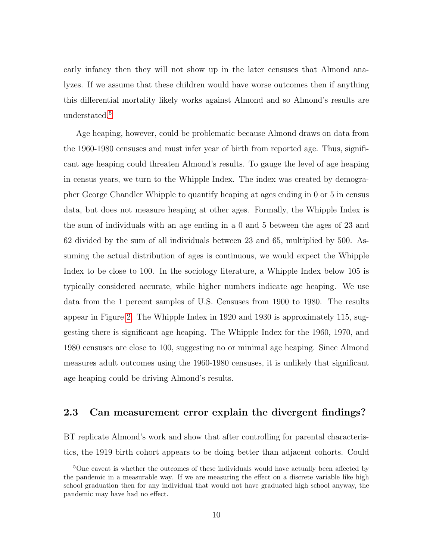early infancy then they will not show up in the later censuses that Almond analyzes. If we assume that these children would have worse outcomes then if anything this differential mortality likely works against Almond and so Almond's results are understated.[5](#page--1-0)

Age heaping, however, could be problematic because Almond draws on data from the 1960-1980 censuses and must infer year of birth from reported age. Thus, significant age heaping could threaten Almond's results. To gauge the level of age heaping in census years, we turn to the Whipple Index. The index was created by demographer George Chandler Whipple to quantify heaping at ages ending in 0 or 5 in census data, but does not measure heaping at other ages. Formally, the Whipple Index is the sum of individuals with an age ending in a 0 and 5 between the ages of 23 and 62 divided by the sum of all individuals between 23 and 65, multiplied by 500. Assuming the actual distribution of ages is continuous, we would expect the Whipple Index to be close to 100. In the sociology literature, a Whipple Index below 105 is typically considered accurate, while higher numbers indicate age heaping. We use data from the 1 percent samples of U.S. Censuses from 1900 to 1980. The results appear in Figure [2.](#page-12-0) The Whipple Index in 1920 and 1930 is approximately 115, suggesting there is significant age heaping. The Whipple Index for the 1960, 1970, and 1980 censuses are close to 100, suggesting no or minimal age heaping. Since Almond measures adult outcomes using the 1960-1980 censuses, it is unlikely that significant age heaping could be driving Almond's results.

### <span id="page-11-0"></span>2.3 Can measurement error explain the divergent findings?

BT replicate Almond's work and show that after controlling for parental characteristics, the 1919 birth cohort appears to be doing better than adjacent cohorts. Could

<sup>5</sup>One caveat is whether the outcomes of these individuals would have actually been affected by the pandemic in a measurable way. If we are measuring the effect on a discrete variable like high school graduation then for any individual that would not have graduated high school anyway, the pandemic may have had no effect.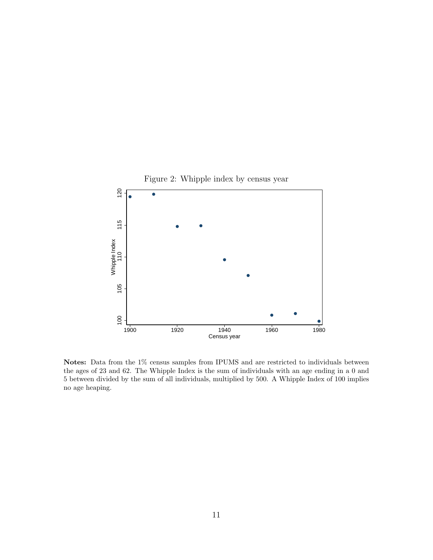<span id="page-12-0"></span>

Notes: Data from the 1% census samples from IPUMS and are restricted to individuals between the ages of 23 and 62. The Whipple Index is the sum of individuals with an age ending in a 0 and 5 between divided by the sum of all individuals, multiplied by 500. A Whipple Index of 100 implies no age heaping.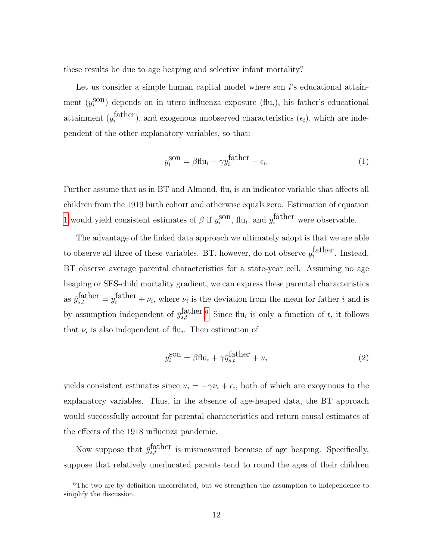these results be due to age heaping and selective infant mortality?

Let us consider a simple human capital model where son is educational attainment  $(y_i^{\text{son}})$  depends on in utero influenza exposure  $(\text{flu}_i)$ , his father's educational attainment ( $y_i^{\text{father}}$ ), and exogenous unobserved characteristics  $(\epsilon_i)$ , which are independent of the other explanatory variables, so that:

<span id="page-13-0"></span>
$$
y_i^{\text{son}} = \beta \text{flu}_i + \gamma y_i^{\text{father}} + \epsilon_i. \tag{1}
$$

Further assume that as in BT and Almond,  $\text{flu}_i$  is an indicator variable that affects all children from the 1919 birth cohort and otherwise equals zero. Estimation of equation [1](#page-13-0) would yield consistent estimates of  $\beta$  if  $y_i^{\text{son}},$  flu<sub>i</sub>, and  $y_i^{\text{father}}$  were observable.

The advantage of the linked data approach we ultimately adopt is that we are able to observe all three of these variables. BT, however, do not observe  $y_i^{\text{father}}$ . Instead, BT observe average parental characteristics for a state-year cell. Assuming no age heaping or SES-child mortality gradient, we can express these parental characteristics as  $\bar{y}_{s,t}^{\text{father}} = y_i^{\text{father}} + \nu_i$ , where  $\nu_i$  is the deviation from the mean for father i and is by assumption independent of  $\bar{y}_{s,t}^{\text{father}}$ .<sup>[6](#page--1-0)</sup> Since flu<sub>i</sub> is only a function of t, it follows that  $\nu_i$  is also independent of flu<sub>i</sub>. Then estimation of

$$
y_i^{\text{son}} = \beta \text{flu}_i + \gamma \bar{y}_{s,t}^{\text{father}} + u_i \tag{2}
$$

yields consistent estimates since  $u_i = -\gamma v_i + \epsilon_i$ , both of which are exogenous to the explanatory variables. Thus, in the absence of age-heaped data, the BT approach would successfully account for parental characteristics and return causal estimates of the effects of the 1918 influenza pandemic.

Now suppose that  $\bar{y}_{s,t}^{\text{father}}$  is mismeasured because of age heaping. Specifically, suppose that relatively uneducated parents tend to round the ages of their children

 ${}^{6}$ The two are by definition uncorrelated, but we strengthen the assumption to independence to simplify the discussion.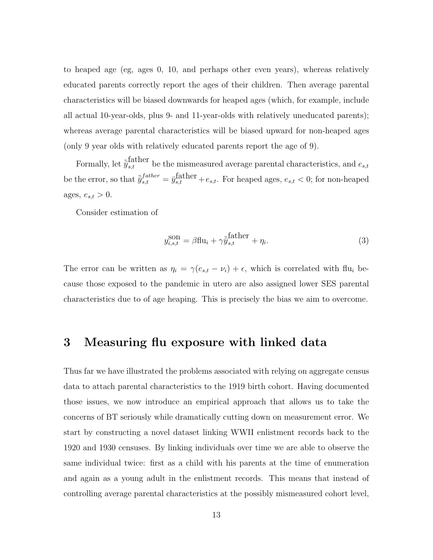to heaped age (eg, ages 0, 10, and perhaps other even years), whereas relatively educated parents correctly report the ages of their children. Then average parental characteristics will be biased downwards for heaped ages (which, for example, include all actual 10-year-olds, plus 9- and 11-year-olds with relatively uneducated parents); whereas average parental characteristics will be biased upward for non-heaped ages (only 9 year olds with relatively educated parents report the age of 9).

Formally, let  $\tilde{y}_{s,t}^{\text{father}}$  be the mismeasured average parental characteristics, and  $e_{s,t}$ be the error, so that  $\tilde{y}_{s,t}^{father} = \bar{y}_{s,t}^{father} + e_{s,t}$ . For heaped ages,  $e_{s,t} < 0$ ; for non-heaped ages,  $e_{s,t} > 0$ .

Consider estimation of

$$
y_{i,s,t}^{\text{son}} = \beta \text{flu}_i + \gamma \tilde{y}_{s,t}^{\text{father}} + \eta_i. \tag{3}
$$

The error can be written as  $\eta_i = \gamma(e_{s,t} - \nu_i) + \epsilon$ , which is correlated with flu<sub>i</sub> because those exposed to the pandemic in utero are also assigned lower SES parental characteristics due to of age heaping. This is precisely the bias we aim to overcome.

### 3 Measuring flu exposure with linked data

Thus far we have illustrated the problems associated with relying on aggregate census data to attach parental characteristics to the 1919 birth cohort. Having documented those issues, we now introduce an empirical approach that allows us to take the concerns of BT seriously while dramatically cutting down on measurement error. We start by constructing a novel dataset linking WWII enlistment records back to the 1920 and 1930 censuses. By linking individuals over time we are able to observe the same individual twice: first as a child with his parents at the time of enumeration and again as a young adult in the enlistment records. This means that instead of controlling average parental characteristics at the possibly mismeasured cohort level,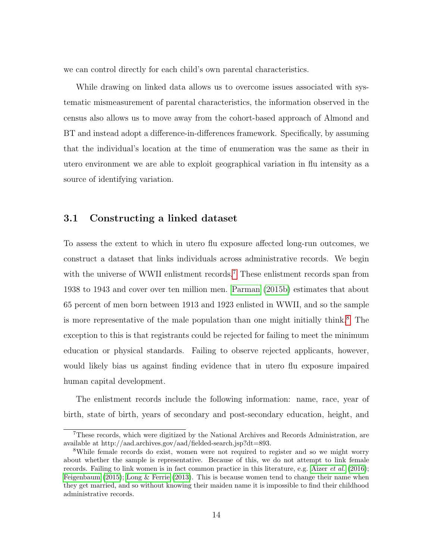we can control directly for each child's own parental characteristics.

While drawing on linked data allows us to overcome issues associated with systematic mismeasurement of parental characteristics, the information observed in the census also allows us to move away from the cohort-based approach of Almond and BT and instead adopt a difference-in-differences framework. Specifically, by assuming that the individual's location at the time of enumeration was the same as their in utero environment we are able to exploit geographical variation in flu intensity as a source of identifying variation.

#### 3.1 Constructing a linked dataset

To assess the extent to which in utero flu exposure affected long-run outcomes, we construct a dataset that links individuals across administrative records. We begin with the universe of WWII enlistment records.<sup>[7](#page--1-0)</sup> These enlistment records span from 1938 to 1943 and cover over ten million men. [Parman \(2015b\)](#page-37-5) estimates that about 65 percent of men born between 1913 and 1923 enlisted in WWII, and so the sample is more representative of the male population than one might initially think.<sup>[8](#page--1-0)</sup> The exception to this is that registrants could be rejected for failing to meet the minimum education or physical standards. Failing to observe rejected applicants, however, would likely bias us against finding evidence that in utero flu exposure impaired human capital development.

The enlistment records include the following information: name, race, year of birth, state of birth, years of secondary and post-secondary education, height, and

<sup>7</sup>These records, which were digitized by the National Archives and Records Administration, are available at http://aad.archives.gov/aad/fielded-search.jsp?dt=893.

<sup>8</sup>While female records do exist, women were not required to register and so we might worry about whether the sample is representative. Because of this, we do not attempt to link female records. Failing to link women is in fact common practice in this literature, e.g. [Aizer](#page-35-1) *et al.* [\(2016\)](#page-35-1); [Feigenbaum](#page-36-11) [\(2015\)](#page-36-11); [Long & Ferrie](#page-37-6) [\(2013\)](#page-37-6). This is because women tend to change their name when they get married, and so without knowing their maiden name it is impossible to find their childhood administrative records.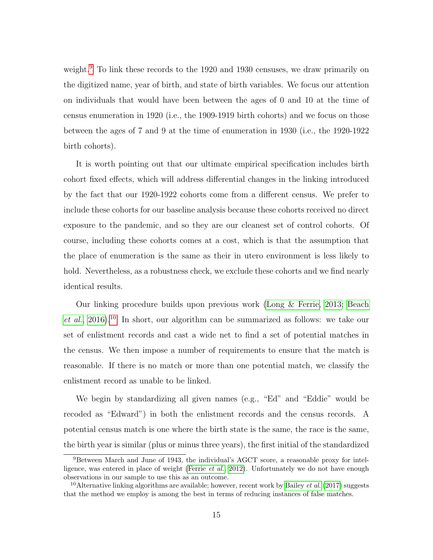weight.<sup>[9](#page--1-0)</sup> To link these records to the 1920 and 1930 censuses, we draw primarily on the digitized name, year of birth, and state of birth variables. We focus our attention on individuals that would have been between the ages of 0 and 10 at the time of census enumeration in 1920 (i.e., the 1909-1919 birth cohorts) and we focus on those between the ages of 7 and 9 at the time of enumeration in 1930 (i.e., the 1920-1922 birth cohorts).

It is worth pointing out that our ultimate empirical specification includes birth cohort fixed effects, which will address differential changes in the linking introduced by the fact that our 1920-1922 cohorts come from a different census. We prefer to include these cohorts for our baseline analysis because these cohorts received no direct exposure to the pandemic, and so they are our cleanest set of control cohorts. Of course, including these cohorts comes at a cost, which is that the assumption that the place of enumeration is the same as their in utero environment is less likely to hold. Nevertheless, as a robustness check, we exclude these cohorts and we find nearly identical results.

Our linking procedure builds upon previous work [\(Long & Ferrie, 2013;](#page-37-6) [Beach](#page-36-7) [et al.](#page-36-7), [2016\)](#page-36-7).<sup>[10](#page--1-0)</sup> In short, our algorithm can be summarized as follows: we take our set of enlistment records and cast a wide net to find a set of potential matches in the census. We then impose a number of requirements to ensure that the match is reasonable. If there is no match or more than one potential match, we classify the enlistment record as unable to be linked.

We begin by standardizing all given names (e.g., "Ed" and "Eddie" would be recoded as "Edward") in both the enlistment records and the census records. A potential census match is one where the birth state is the same, the race is the same, the birth year is similar (plus or minus three years), the first initial of the standardized

<sup>9</sup>Between March and June of 1943, the individual's AGCT score, a reasonable proxy for intel-ligence, was entered in place of weight [\(Ferrie](#page-37-7) *et al.*, [2012\)](#page-37-7). Unfortunately we do not have enough observations in our sample to use this as an outcome.

<sup>&</sup>lt;sup>10</sup>Alternative linking algorithms are available; however, recent work by [Bailey](#page-36-12) *et al.* [\(2017\)](#page-36-12) suggests that the method we employ is among the best in terms of reducing instances of false matches.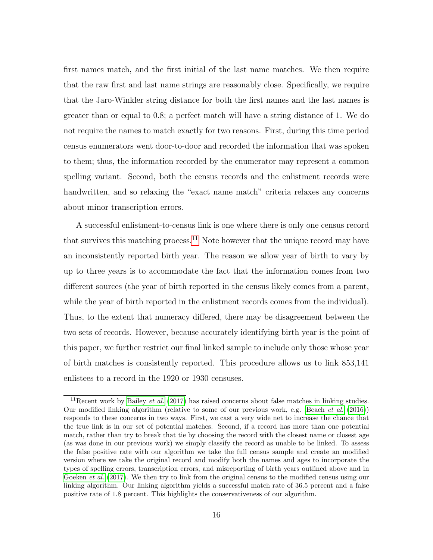first names match, and the first initial of the last name matches. We then require that the raw first and last name strings are reasonably close. Specifically, we require that the Jaro-Winkler string distance for both the first names and the last names is greater than or equal to 0.8; a perfect match will have a string distance of 1. We do not require the names to match exactly for two reasons. First, during this time period census enumerators went door-to-door and recorded the information that was spoken to them; thus, the information recorded by the enumerator may represent a common spelling variant. Second, both the census records and the enlistment records were handwritten, and so relaxing the "exact name match" criteria relaxes any concerns about minor transcription errors.

A successful enlistment-to-census link is one where there is only one census record that survives this matching process.<sup>[11](#page--1-0)</sup> Note however that the unique record may have an inconsistently reported birth year. The reason we allow year of birth to vary by up to three years is to accommodate the fact that the information comes from two different sources (the year of birth reported in the census likely comes from a parent, while the year of birth reported in the enlistment records comes from the individual). Thus, to the extent that numeracy differed, there may be disagreement between the two sets of records. However, because accurately identifying birth year is the point of this paper, we further restrict our final linked sample to include only those whose year of birth matches is consistently reported. This procedure allows us to link 853,141 enlistees to a record in the 1920 or 1930 censuses.

<sup>&</sup>lt;sup>11</sup>Recent work by [Bailey](#page-36-12) *et al.* [\(2017\)](#page-36-12) has raised concerns about false matches in linking studies. Our modified linking algorithm (relative to some of our previous work, e.g. [Beach](#page-36-7) et al. [\(2016\)](#page-36-7)) responds to these concerns in two ways. First, we cast a very wide net to increase the chance that the true link is in our set of potential matches. Second, if a record has more than one potential match, rather than try to break that tie by choosing the record with the closest name or closest age (as was done in our previous work) we simply classify the record as unable to be linked. To assess the false positive rate with our algorithm we take the full census sample and create an modified version where we take the original record and modify both the names and ages to incorporate the types of spelling errors, transcription errors, and misreporting of birth years outlined above and in [Goeken](#page-37-8) *et al.* [\(2017\)](#page-37-8). We then try to link from the original census to the modified census using our linking algorithm. Our linking algorithm yields a successful match rate of 36.5 percent and a false positive rate of 1.8 percent. This highlights the conservativeness of our algorithm.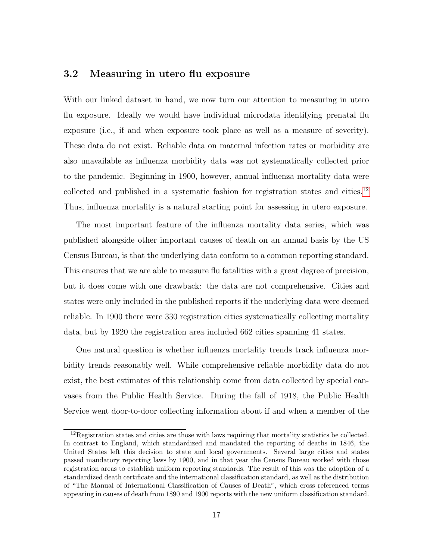### 3.2 Measuring in utero flu exposure

With our linked dataset in hand, we now turn our attention to measuring in utero flu exposure. Ideally we would have individual microdata identifying prenatal flu exposure (i.e., if and when exposure took place as well as a measure of severity). These data do not exist. Reliable data on maternal infection rates or morbidity are also unavailable as influenza morbidity data was not systematically collected prior to the pandemic. Beginning in 1900, however, annual influenza mortality data were collected and published in a systematic fashion for registration states and cities.<sup>[12](#page--1-0)</sup> Thus, influenza mortality is a natural starting point for assessing in utero exposure.

The most important feature of the influenza mortality data series, which was published alongside other important causes of death on an annual basis by the US Census Bureau, is that the underlying data conform to a common reporting standard. This ensures that we are able to measure flu fatalities with a great degree of precision, but it does come with one drawback: the data are not comprehensive. Cities and states were only included in the published reports if the underlying data were deemed reliable. In 1900 there were 330 registration cities systematically collecting mortality data, but by 1920 the registration area included 662 cities spanning 41 states.

One natural question is whether influenza mortality trends track influenza morbidity trends reasonably well. While comprehensive reliable morbidity data do not exist, the best estimates of this relationship come from data collected by special canvases from the Public Health Service. During the fall of 1918, the Public Health Service went door-to-door collecting information about if and when a member of the

<sup>&</sup>lt;sup>12</sup>Registration states and cities are those with laws requiring that mortality statistics be collected. In contrast to England, which standardized and mandated the reporting of deaths in 1846, the United States left this decision to state and local governments. Several large cities and states passed mandatory reporting laws by 1900, and in that year the Census Bureau worked with those registration areas to establish uniform reporting standards. The result of this was the adoption of a standardized death certificate and the international classification standard, as well as the distribution of "The Manual of International Classification of Causes of Death", which cross referenced terms appearing in causes of death from 1890 and 1900 reports with the new uniform classification standard.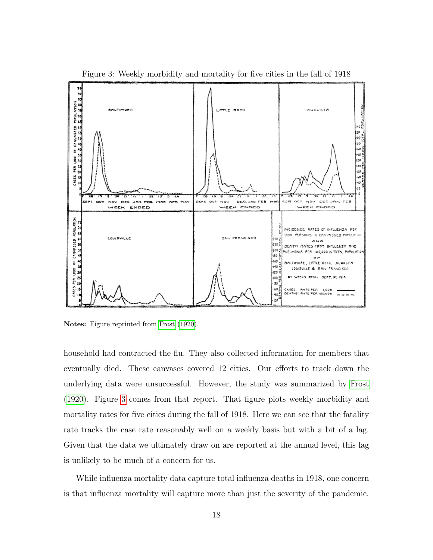

<span id="page-19-0"></span>Figure 3: Weekly morbidity and mortality for five cities in the fall of 1918

Notes: Figure reprinted from [Frost](#page-37-9) [\(1920\)](#page-37-9).

household had contracted the flu. They also collected information for members that eventually died. These canvases covered 12 cities. Our efforts to track down the underlying data were unsuccessful. However, the study was summarized by [Frost](#page-37-9) [\(1920\)](#page-37-9). Figure [3](#page-19-0) comes from that report. That figure plots weekly morbidity and mortality rates for five cities during the fall of 1918. Here we can see that the fatality rate tracks the case rate reasonably well on a weekly basis but with a bit of a lag. Given that the data we ultimately draw on are reported at the annual level, this lag is unlikely to be much of a concern for us.

While influenza mortality data capture total influenza deaths in 1918, one concern is that influenza mortality will capture more than just the severity of the pandemic.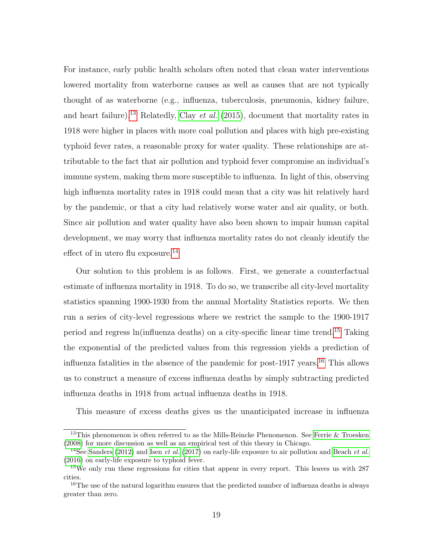For instance, early public health scholars often noted that clean water interventions lowered mortality from waterborne causes as well as causes that are not typically thought of as waterborne (e.g., influenza, tuberculosis, pneumonia, kidney failure, and heart failure).<sup>[13](#page--1-0)</sup> Relatedly, Clay *[et al.](#page-36-13)* [\(2015\)](#page-36-13), document that mortality rates in 1918 were higher in places with more coal pollution and places with high pre-existing typhoid fever rates, a reasonable proxy for water quality. These relationships are attributable to the fact that air pollution and typhoid fever compromise an individual's immune system, making them more susceptible to influenza. In light of this, observing high influenza mortality rates in 1918 could mean that a city was hit relatively hard by the pandemic, or that a city had relatively worse water and air quality, or both. Since air pollution and water quality have also been shown to impair human capital development, we may worry that influenza mortality rates do not cleanly identify the effect of in utero flu exposure.<sup>[14](#page--1-0)</sup>

Our solution to this problem is as follows. First, we generate a counterfactual estimate of influenza mortality in 1918. To do so, we transcribe all city-level mortality statistics spanning 1900-1930 from the annual Mortality Statistics reports. We then run a series of city-level regressions where we restrict the sample to the 1900-1917 period and regress ln(influenza deaths) on a city-specific linear time trend.[15](#page--1-0) Taking the exponential of the predicted values from this regression yields a prediction of influenza fatalities in the absence of the pandemic for post-1917 years.<sup>[16](#page--1-0)</sup> This allows us to construct a measure of excess influenza deaths by simply subtracting predicted influenza deaths in 1918 from actual influenza deaths in 1918.

This measure of excess deaths gives us the unanticipated increase in influenza

<sup>&</sup>lt;sup>13</sup>This phenomenon is often referred to as the Mills-Reincke Phenomenon. See Ferrie  $\&$  Troesken [\(2008\)](#page-36-14) for more discussion as well as an empirical test of this theory in Chicago.

<sup>&</sup>lt;sup>14</sup>See [Sanders](#page-37-10) [\(2012\)](#page-37-10) and Isen *[et al.](#page-37-11)* [\(2017\)](#page-37-11) on early-life exposure to air pollution and [Beach](#page-36-7) *et al.* [\(2016\)](#page-36-7) on early-life exposure to typhoid fever.

<sup>&</sup>lt;sup>15</sup>We only run these regressions for cities that appear in every report. This leaves us with 287 cities.

<sup>&</sup>lt;sup>16</sup>The use of the natural logarithm ensures that the predicted number of influenza deaths is always greater than zero.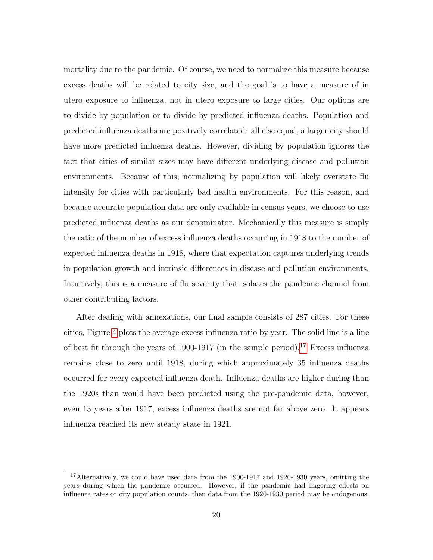mortality due to the pandemic. Of course, we need to normalize this measure because excess deaths will be related to city size, and the goal is to have a measure of in utero exposure to influenza, not in utero exposure to large cities. Our options are to divide by population or to divide by predicted influenza deaths. Population and predicted influenza deaths are positively correlated: all else equal, a larger city should have more predicted influenza deaths. However, dividing by population ignores the fact that cities of similar sizes may have different underlying disease and pollution environments. Because of this, normalizing by population will likely overstate flu intensity for cities with particularly bad health environments. For this reason, and because accurate population data are only available in census years, we choose to use predicted influenza deaths as our denominator. Mechanically this measure is simply the ratio of the number of excess influenza deaths occurring in 1918 to the number of expected influenza deaths in 1918, where that expectation captures underlying trends in population growth and intrinsic differences in disease and pollution environments. Intuitively, this is a measure of flu severity that isolates the pandemic channel from other contributing factors.

After dealing with annexations, our final sample consists of 287 cities. For these cities, Figure [4](#page-22-0) plots the average excess influenza ratio by year. The solid line is a line of best fit through the years of 1900-19[17](#page--1-0) (in the sample period).<sup>17</sup> Excess influenza remains close to zero until 1918, during which approximately 35 influenza deaths occurred for every expected influenza death. Influenza deaths are higher during than the 1920s than would have been predicted using the pre-pandemic data, however, even 13 years after 1917, excess influenza deaths are not far above zero. It appears influenza reached its new steady state in 1921.

<sup>&</sup>lt;sup>17</sup>Alternatively, we could have used data from the 1900-1917 and 1920-1930 years, omitting the years during which the pandemic occurred. However, if the pandemic had lingering effects on influenza rates or city population counts, then data from the 1920-1930 period may be endogenous.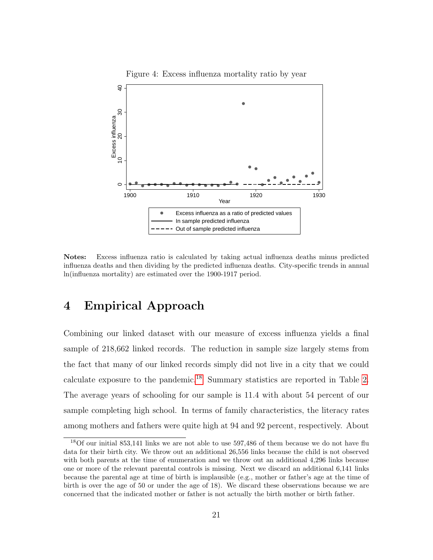<span id="page-22-0"></span>

Notes: Excess influenza ratio is calculated by taking actual influenza deaths minus predicted influenza deaths and then dividing by the predicted influenza deaths. City-specific trends in annual ln(influenza mortality) are estimated over the 1900-1917 period.

## 4 Empirical Approach

Combining our linked dataset with our measure of excess influenza yields a final sample of 218,662 linked records. The reduction in sample size largely stems from the fact that many of our linked records simply did not live in a city that we could calculate exposure to the pandemic.[18](#page--1-0) Summary statistics are reported in Table [2.](#page-23-0) The average years of schooling for our sample is 11.4 with about 54 percent of our sample completing high school. In terms of family characteristics, the literacy rates among mothers and fathers were quite high at 94 and 92 percent, respectively. About

<sup>&</sup>lt;sup>18</sup>Of our initial 853,141 links we are not able to use 597,486 of them because we do not have flu data for their birth city. We throw out an additional 26,556 links because the child is not observed with both parents at the time of enumeration and we throw out an additional 4,296 links because one or more of the relevant parental controls is missing. Next we discard an additional 6,141 links because the parental age at time of birth is implausible (e.g., mother or father's age at the time of birth is over the age of 50 or under the age of 18). We discard these observations because we are concerned that the indicated mother or father is not actually the birth mother or birth father.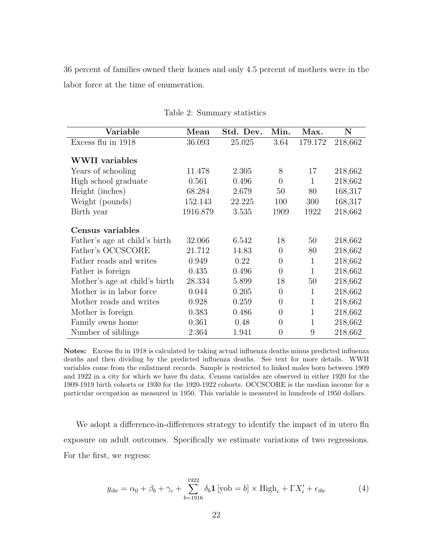36 percent of families owned their homes and only 4.5 percent of mothers were in the labor force at the time of enumeration.

| Variable                      | Mean     | Std. Dev. | Min.           | Max.         | $\mathbf N$ |
|-------------------------------|----------|-----------|----------------|--------------|-------------|
| Excess flu in 1918            | 36.093   | 25.025    | 3.64           | 179.172      | 218,662     |
| <b>WWII</b> variables         |          |           |                |              |             |
| Years of schooling            | 11.478   | 2.305     | 8              | 17           | 218,662     |
| High school graduate          | 0.561    | 0.496     | $\overline{0}$ | $\mathbf{1}$ | 218,662     |
| Height (inches)               | 68.284   | 2.679     | 50             | 80           | 168,317     |
| Weight (pounds)               | 152.143  | 22.225    | 100            | 300          | 168,317     |
| Birth year                    | 1916.879 | 3.535     | 1909           | 1922         | 218,662     |
| Census variables              |          |           |                |              |             |
| Father's age at child's birth | 32.066   | 6.542     | 18             | 50           | 218,662     |
| Father's OCCSCORE             | 21.712   | 14.83     | $\overline{0}$ | 80           | 218,662     |
| Father reads and writes       | 0.949    | 0.22      | $\theta$       | $\mathbf{1}$ | 218,662     |
| Father is foreign             | 0.435    | 0.496     | $\theta$       | $\mathbf{1}$ | 218,662     |
| Mother's age at child's birth | 28.334   | 5.899     | 18             | 50           | 218,662     |
| Mother is in labor force      | 0.044    | 0.205     | $\theta$       | 1            | 218,662     |
| Mother reads and writes       | 0.928    | 0.259     | $\overline{0}$ | 1            | 218,662     |
| Mother is foreign             | 0.383    | 0.486     | $\overline{0}$ | $\mathbf{1}$ | 218,662     |
| Family owns home              | 0.361    | 0.48      | $\overline{0}$ | $\mathbf{1}$ | 218,662     |
| Number of siblings            | 2.364    | 1.941     | $\overline{0}$ | 9            | 218,662     |

<span id="page-23-0"></span>Table 2: Summary statistics

Notes: Excess flu in 1918 is calculated by taking actual influenza deaths minus predicted influenza deaths and then dividing by the predicted influenza deaths. See text for more details. WWII variables come from the enlistment records. Sample is restricted to linked males born between 1909 and 1922 in a city for which we have flu data. Census variables are observed in either 1920 for the 1909-1919 birth cohorts or 1930 for the 1920-1922 cohorts. OCCSCORE is the median income for a particular occupation as measured in 1950. This variable is measured in hundreds of 1950 dollars.

We adopt a difference-in-differences strategy to identify the impact of in utero flu exposure on adult outcomes. Specifically we estimate variations of two regressions. For the first, we regress:

<span id="page-23-1"></span>
$$
y_{ibc} = \alpha_0 + \beta_b + \gamma_c + \sum_{b=1916}^{1922} \delta_b \mathbf{1} \left[ \text{yob} = b \right] \times \text{High}_c + \Gamma X_i' + \epsilon_{ibc}
$$
 (4)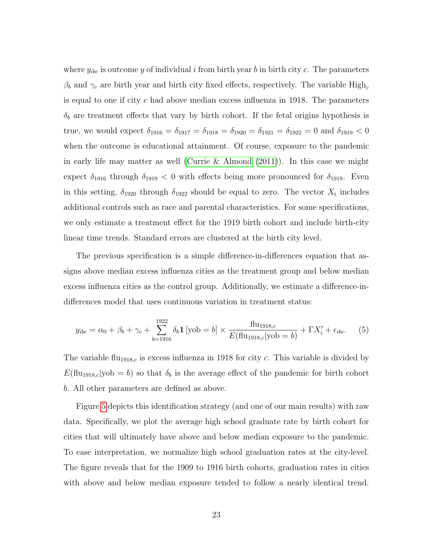where  $y_{ibc}$  is outcome y of individual i from birth year b in birth city c. The parameters  $\beta_b$  and  $\gamma_c$  are birth year and birth city fixed effects, respectively. The variable High<sub>c</sub> is equal to one if city c had above median excess influenza in 1918. The parameters  $\delta_b$  are treatment effects that vary by birth cohort. If the fetal origins hypothesis is true, we would expect  $\delta_{1916} = \delta_{1917} = \delta_{1918} = \delta_{1920} = \delta_{1921} = \delta_{1922} = 0$  and  $\delta_{1919} < 0$ when the outcome is educational attainment. Of course, exposure to the pandemic in early life may matter as well [\(Currie & Almond \(2011\)](#page-36-15)). In this case we might expect  $\delta_{1916}$  through  $\delta_{1919}$  < 0 with effects being more pronounced for  $\delta_{1919}$ . Even in this setting,  $\delta_{1920}$  through  $\delta_{1922}$  should be equal to zero. The vector  $X_i$  includes additional controls such as race and parental characteristics. For some specifications, we only estimate a treatment effect for the 1919 birth cohort and include birth-city linear time trends. Standard errors are clustered at the birth city level.

The previous specification is a simple difference-in-differences equation that assigns above median excess influenza cities as the treatment group and below median excess influenza cities as the control group. Additionally, we estimate a difference-indifferences model that uses continuous variation in treatment status:

$$
y_{ibc} = \alpha_0 + \beta_b + \gamma_c + \sum_{b=1916}^{1922} \delta_b \mathbf{1} \left[ \text{yob} = b \right] \times \frac{\text{flu}_{1918,c}}{E(\text{flu}_{1918,c}|\text{yob} = b)} + \Gamma X_i' + \epsilon_{ibc}.
$$
 (5)

The variable flu<sub>1918,c</sub> is excess influenza in 1918 for city c. This variable is divided by  $E(\text{flu}_{1918,c}|\text{yob} = b)$  so that  $\delta_b$  is the average effect of the pandemic for birth cohort b. All other parameters are defined as above.

Figure [5](#page-25-0) depicts this identification strategy (and one of our main results) with raw data. Specifically, we plot the average high school graduate rate by birth cohort for cities that will ultimately have above and below median exposure to the pandemic. To ease interpretation, we normalize high school graduation rates at the city-level. The figure reveals that for the 1909 to 1916 birth cohorts, graduation rates in cities with above and below median exposure tended to follow a nearly identical trend.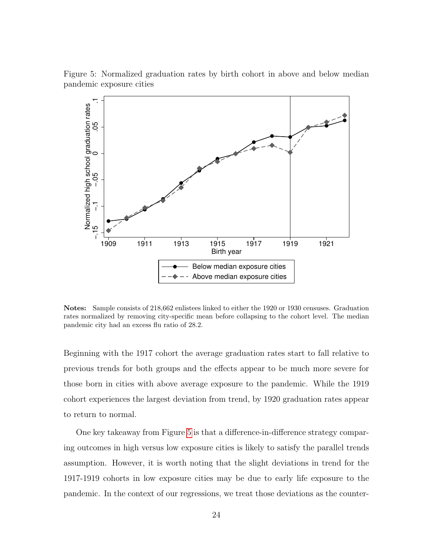<span id="page-25-0"></span>

Figure 5: Normalized graduation rates by birth cohort in above and below median pandemic exposure cities

Notes: Sample consists of 218,662 enlistees linked to either the 1920 or 1930 censuses. Graduation rates normalized by removing city-specific mean before collapsing to the cohort level. The median pandemic city had an excess flu ratio of 28.2.

Beginning with the 1917 cohort the average graduation rates start to fall relative to previous trends for both groups and the effects appear to be much more severe for those born in cities with above average exposure to the pandemic. While the 1919 cohort experiences the largest deviation from trend, by 1920 graduation rates appear to return to normal.

One key takeaway from Figure [5](#page-25-0) is that a difference-in-difference strategy comparing outcomes in high versus low exposure cities is likely to satisfy the parallel trends assumption. However, it is worth noting that the slight deviations in trend for the 1917-1919 cohorts in low exposure cities may be due to early life exposure to the pandemic. In the context of our regressions, we treat those deviations as the counter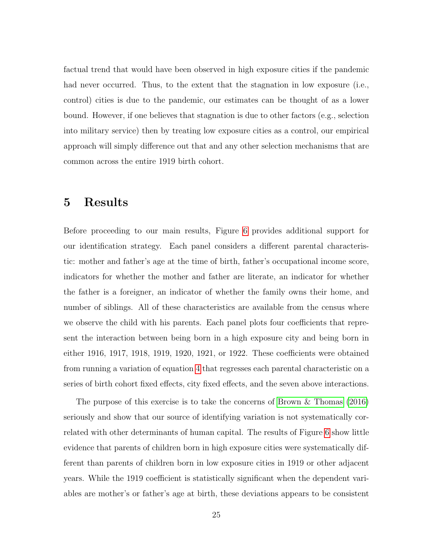factual trend that would have been observed in high exposure cities if the pandemic had never occurred. Thus, to the extent that the stagnation in low exposure (i.e., control) cities is due to the pandemic, our estimates can be thought of as a lower bound. However, if one believes that stagnation is due to other factors (e.g., selection into military service) then by treating low exposure cities as a control, our empirical approach will simply difference out that and any other selection mechanisms that are common across the entire 1919 birth cohort.

### 5 Results

Before proceeding to our main results, Figure [6](#page-28-0) provides additional support for our identification strategy. Each panel considers a different parental characteristic: mother and father's age at the time of birth, father's occupational income score, indicators for whether the mother and father are literate, an indicator for whether the father is a foreigner, an indicator of whether the family owns their home, and number of siblings. All of these characteristics are available from the census where we observe the child with his parents. Each panel plots four coefficients that represent the interaction between being born in a high exposure city and being born in either 1916, 1917, 1918, 1919, 1920, 1921, or 1922. These coefficients were obtained from running a variation of equation [4](#page-23-1) that regresses each parental characteristic on a series of birth cohort fixed effects, city fixed effects, and the seven above interactions.

The purpose of this exercise is to take the concerns of [Brown & Thomas \(2016\)](#page-36-3) seriously and show that our source of identifying variation is not systematically correlated with other determinants of human capital. The results of Figure [6](#page-28-0) show little evidence that parents of children born in high exposure cities were systematically different than parents of children born in low exposure cities in 1919 or other adjacent years. While the 1919 coefficient is statistically significant when the dependent variables are mother's or father's age at birth, these deviations appears to be consistent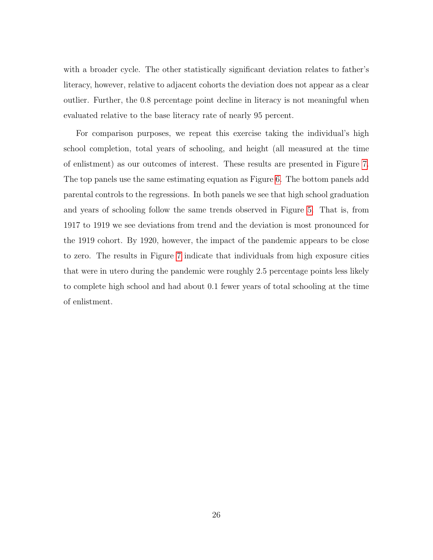with a broader cycle. The other statistically significant deviation relates to father's literacy, however, relative to adjacent cohorts the deviation does not appear as a clear outlier. Further, the 0.8 percentage point decline in literacy is not meaningful when evaluated relative to the base literacy rate of nearly 95 percent.

For comparison purposes, we repeat this exercise taking the individual's high school completion, total years of schooling, and height (all measured at the time of enlistment) as our outcomes of interest. These results are presented in Figure [7.](#page-30-0) The top panels use the same estimating equation as Figure [6.](#page-28-0) The bottom panels add parental controls to the regressions. In both panels we see that high school graduation and years of schooling follow the same trends observed in Figure [5.](#page-25-0) That is, from 1917 to 1919 we see deviations from trend and the deviation is most pronounced for the 1919 cohort. By 1920, however, the impact of the pandemic appears to be close to zero. The results in Figure [7](#page-30-0) indicate that individuals from high exposure cities that were in utero during the pandemic were roughly 2.5 percentage points less likely to complete high school and had about 0.1 fewer years of total schooling at the time of enlistment.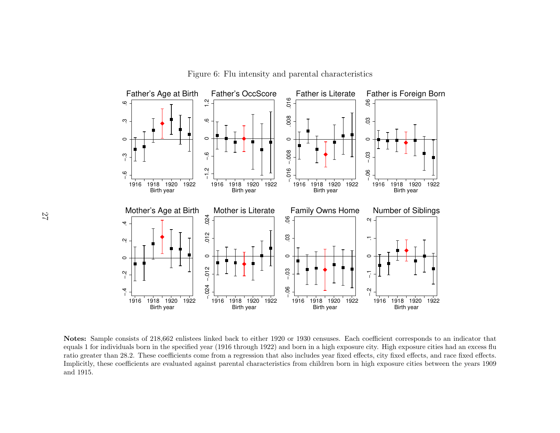

<span id="page-28-0"></span>Figure 6: Flu intensity and parental characteristics

Notes: Sample consists of 218,662 enlistees linked back to either <sup>1920</sup> or <sup>1930</sup> censuses. Each coefficient corresponds to an indicator that equals <sup>1</sup> for individuals born in the specified year (1916 through 1922) and born in <sup>a</sup> high exposure city. High exposure cities had an excess flu ratio greater than 28.2. These coefficients come from <sup>a</sup> regression that also includes year fixed effects, city fixed effects, and race fixed effects. Implicitly, these coefficients are evaluated against parental characteristics from children born in high exposure cities between the years 1909and 1915.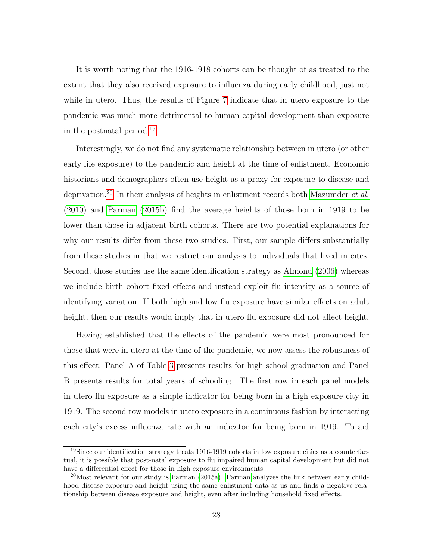It is worth noting that the 1916-1918 cohorts can be thought of as treated to the extent that they also received exposure to influenza during early childhood, just not while in utero. Thus, the results of Figure [7](#page-30-0) indicate that in utero exposure to the pandemic was much more detrimental to human capital development than exposure in the postnatal period.[19](#page--1-0)

Interestingly, we do not find any systematic relationship between in utero (or other early life exposure) to the pandemic and height at the time of enlistment. Economic historians and demographers often use height as a proxy for exposure to disease and deprivation.<sup>[20](#page--1-0)</sup> In their analysis of heights in enlistment records both [Mazumder](#page-37-12) *et al.* [\(2010\)](#page-37-12) and [Parman \(2015b\)](#page-37-5) find the average heights of those born in 1919 to be lower than those in adjacent birth cohorts. There are two potential explanations for why our results differ from these two studies. First, our sample differs substantially from these studies in that we restrict our analysis to individuals that lived in cites. Second, those studies use the same identification strategy as [Almond \(2006\)](#page-36-0) whereas we include birth cohort fixed effects and instead exploit flu intensity as a source of identifying variation. If both high and low flu exposure have similar effects on adult height, then our results would imply that in utero flu exposure did not affect height.

Having established that the effects of the pandemic were most pronounced for those that were in utero at the time of the pandemic, we now assess the robustness of this effect. Panel A of Table [3](#page-32-0) presents results for high school graduation and Panel B presents results for total years of schooling. The first row in each panel models in utero flu exposure as a simple indicator for being born in a high exposure city in 1919. The second row models in utero exposure in a continuous fashion by interacting each city's excess influenza rate with an indicator for being born in 1919. To aid

<sup>19</sup>Since our identification strategy treats 1916-1919 cohorts in low exposure cities as a counterfactual, it is possible that post-natal exposure to flu impaired human capital development but did not have a differential effect for those in high exposure environments.

<sup>20</sup>Most relevant for our study is [Parman](#page-37-13) [\(2015a\)](#page-37-13). [Parman](#page-37-13) analyzes the link between early childhood disease exposure and height using the same enlistment data as us and finds a negative relationship between disease exposure and height, even after including household fixed effects.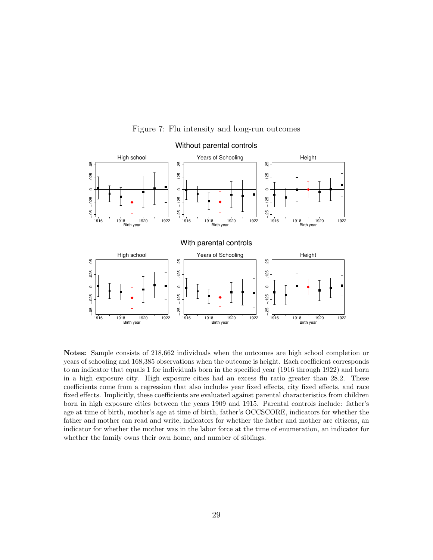

<span id="page-30-0"></span>Figure 7: Flu intensity and long-run outcomes

Notes: Sample consists of 218,662 individuals when the outcomes are high school completion or years of schooling and 168,385 observations when the outcome is height. Each coefficient corresponds to an indicator that equals 1 for individuals born in the specified year (1916 through 1922) and born in a high exposure city. High exposure cities had an excess flu ratio greater than 28.2. These coefficients come from a regression that also includes year fixed effects, city fixed effects, and race fixed effects. Implicitly, these coefficients are evaluated against parental characteristics from children born in high exposure cities between the years 1909 and 1915. Parental controls include: father's age at time of birth, mother's age at time of birth, father's OCCSCORE, indicators for whether the father and mother can read and write, indicators for whether the father and mother are citizens, an indicator for whether the mother was in the labor force at the time of enumeration, an indicator for whether the family owns their own home, and number of siblings.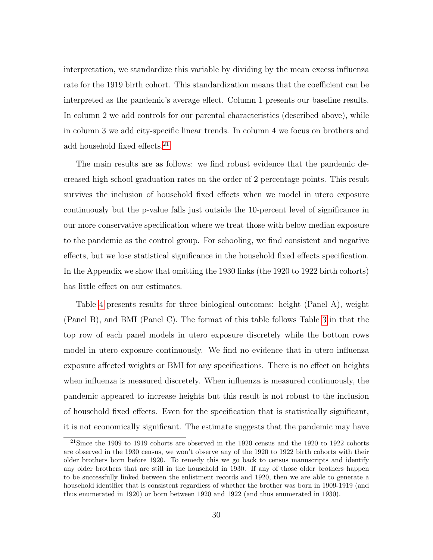interpretation, we standardize this variable by dividing by the mean excess influenza rate for the 1919 birth cohort. This standardization means that the coefficient can be interpreted as the pandemic's average effect. Column 1 presents our baseline results. In column 2 we add controls for our parental characteristics (described above), while in column 3 we add city-specific linear trends. In column 4 we focus on brothers and add household fixed effects.<sup>[21](#page--1-0)</sup>

The main results are as follows: we find robust evidence that the pandemic decreased high school graduation rates on the order of 2 percentage points. This result survives the inclusion of household fixed effects when we model in utero exposure continuously but the p-value falls just outside the 10-percent level of significance in our more conservative specification where we treat those with below median exposure to the pandemic as the control group. For schooling, we find consistent and negative effects, but we lose statistical significance in the household fixed effects specification. In the Appendix we show that omitting the 1930 links (the 1920 to 1922 birth cohorts) has little effect on our estimates.

Table [4](#page-33-0) presents results for three biological outcomes: height (Panel A), weight (Panel B), and BMI (Panel C). The format of this table follows Table [3](#page-32-0) in that the top row of each panel models in utero exposure discretely while the bottom rows model in utero exposure continuously. We find no evidence that in utero influenza exposure affected weights or BMI for any specifications. There is no effect on heights when influenza is measured discretely. When influenza is measured continuously, the pandemic appeared to increase heights but this result is not robust to the inclusion of household fixed effects. Even for the specification that is statistically significant, it is not economically significant. The estimate suggests that the pandemic may have

<sup>&</sup>lt;sup>21</sup>Since the 1909 to 1919 cohorts are observed in the 1920 census and the 1920 to 1922 cohorts are observed in the 1930 census, we won't observe any of the 1920 to 1922 birth cohorts with their older brothers born before 1920. To remedy this we go back to census manuscripts and identify any older brothers that are still in the household in 1930. If any of those older brothers happen to be successfully linked between the enlistment records and 1920, then we are able to generate a household identifier that is consistent regardless of whether the brother was born in 1909-1919 (and thus enumerated in 1920) or born between 1920 and 1922 (and thus enumerated in 1930).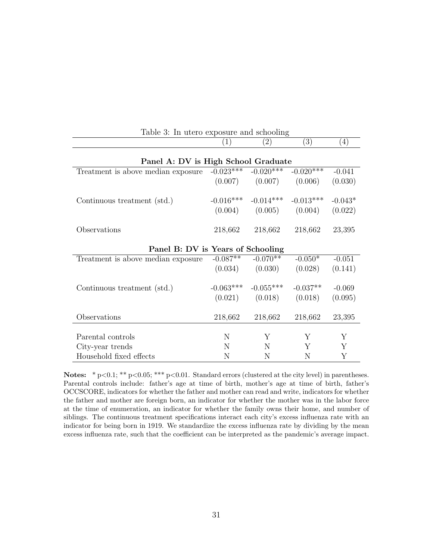|                                     | $\left(1\right)$       | $\left( 2\right)$   | $\left(3\right)$ | $\left(4\right)$ |  |  |
|-------------------------------------|------------------------|---------------------|------------------|------------------|--|--|
| Panel A: DV is High School Graduate |                        |                     |                  |                  |  |  |
| Treatment is above median exposure  | $-0.02\overline{3***}$ | $-0.020***$         | $-0.020***$      | $-0.041$         |  |  |
|                                     | (0.007)                | (0.007)             | (0.006)          | (0.030)          |  |  |
|                                     |                        |                     |                  |                  |  |  |
| Continuous treatment (std.)         | $-0.016***$            | $-0.014***$         | $-0.013***$      | $-0.043*$        |  |  |
|                                     | (0.004)                | (0.005)             | (0.004)          | (0.022)          |  |  |
| Observations                        | 218,662                | 218,662             | 218,662          | 23,395           |  |  |
| Panel B: DV is Years of Schooling   |                        |                     |                  |                  |  |  |
| Treatment is above median exposure  | $-0.087**$             | $-0.070**$          | $-0.050*$        | $-0.051$         |  |  |
|                                     |                        | $(0.034)$ $(0.030)$ | (0.028)          | (0.141)          |  |  |
|                                     |                        |                     |                  |                  |  |  |
| Continuous treatment (std.)         | $-0.063***$            | $-0.055***$         | $-0.037**$       | $-0.069$         |  |  |
|                                     | (0.021)                | (0.018)             | (0.018)          | (0.095)          |  |  |
| Observations                        | 218,662                | 218,662             | 218,662          | 23,395           |  |  |
|                                     |                        |                     |                  |                  |  |  |
| Parental controls                   | N                      | Y                   | Y                | Y                |  |  |
| City-year trends                    | N                      | N                   | Υ                | Y                |  |  |
| Household fixed effects             | N                      | N                   | N                | Y                |  |  |

<span id="page-32-0"></span>Table 3: In utero exposure and schooling

Notes: \* p<0.1; \*\* p<0.05; \*\*\* p<0.01. Standard errors (clustered at the city level) in parentheses. Parental controls include: father's age at time of birth, mother's age at time of birth, father's OCCSCORE, indicators for whether the father and mother can read and write, indicators for whether the father and mother are foreign born, an indicator for whether the mother was in the labor force at the time of enumeration, an indicator for whether the family owns their home, and number of siblings. The continuous treatment specifications interact each city's excess influenza rate with an indicator for being born in 1919. We standardize the excess influenza rate by dividing by the mean excess influenza rate, such that the coefficient can be interpreted as the pandemic's average impact.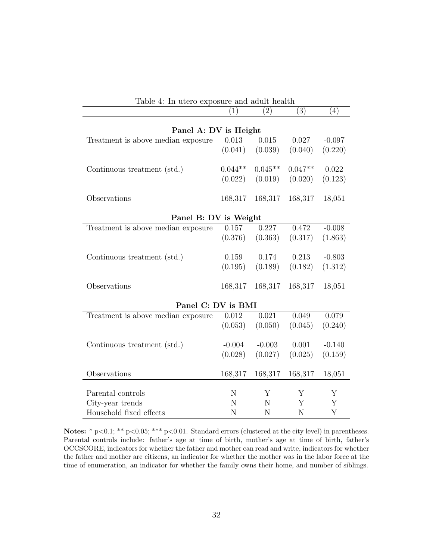<span id="page-33-0"></span>

| Table 4: In utero exposure and adult health |           |                   |             |          |  |  |  |
|---------------------------------------------|-----------|-------------------|-------------|----------|--|--|--|
|                                             | (1)       | $\left( 2\right)$ | (3)         | (4)      |  |  |  |
|                                             |           |                   |             |          |  |  |  |
| Panel A: DV is Height                       |           |                   |             |          |  |  |  |
| Treatment is above median exposure          | 0.013     | 0.015             | 0.027       | $-0.097$ |  |  |  |
|                                             | (0.041)   | (0.039)           | (0.040)     | (0.220)  |  |  |  |
|                                             |           |                   |             |          |  |  |  |
| Continuous treatment (std.)                 | $0.044**$ | $0.045**$         | $0.047**$   | 0.022    |  |  |  |
|                                             | (0.022)   | (0.019)           | (0.020)     | (0.123)  |  |  |  |
|                                             |           |                   |             |          |  |  |  |
| Observations                                | 168,317   | 168,317           | 168,317     | 18,051   |  |  |  |
| Panel B: DV is Weight                       |           |                   |             |          |  |  |  |
| Treatment is above median exposure          | 0.157     | 0.227             | 0.472       | $-0.008$ |  |  |  |
|                                             | (0.376)   | (0.363)           | (0.317)     | (1.863)  |  |  |  |
|                                             |           |                   |             |          |  |  |  |
| Continuous treatment (std.)                 | 0.159     | 0.174             | 0.213       | $-0.803$ |  |  |  |
|                                             | (0.195)   | (0.189)           | (0.182)     | (1.312)  |  |  |  |
|                                             |           |                   |             |          |  |  |  |
| Observations                                | 168,317   | 168,317           | 168,317     | 18,051   |  |  |  |
| Panel C: DV is BMI                          |           |                   |             |          |  |  |  |
| Treatment is above median exposure          | 0.012     | 0.021             | 0.049       | 0.079    |  |  |  |
|                                             | (0.053)   | (0.050)           | (0.045)     | (0.240)  |  |  |  |
|                                             |           |                   |             |          |  |  |  |
| Continuous treatment (std.)                 | $-0.004$  | $-0.003$          | 0.001       | $-0.140$ |  |  |  |
|                                             | (0.028)   | (0.027)           | (0.025)     | (0.159)  |  |  |  |
|                                             |           |                   |             |          |  |  |  |
| Observations                                | 168,317   | 168,317           | 168,317     | 18,051   |  |  |  |
|                                             |           |                   |             |          |  |  |  |
| Parental controls                           | N         | Υ                 | Υ           | Υ        |  |  |  |
| City-year trends                            | N         | N                 | Y           | Υ        |  |  |  |
| Household fixed effects                     | N         | N                 | $\mathbf N$ | Y        |  |  |  |

Notes: \* p<0.1; \*\* p<0.05; \*\*\* p<0.01. Standard errors (clustered at the city level) in parentheses. Parental controls include: father's age at time of birth, mother's age at time of birth, father's OCCSCORE, indicators for whether the father and mother can read and write, indicators for whether the father and mother are citizens, an indicator for whether the mother was in the labor force at the time of enumeration, an indicator for whether the family owns their home, and number of siblings.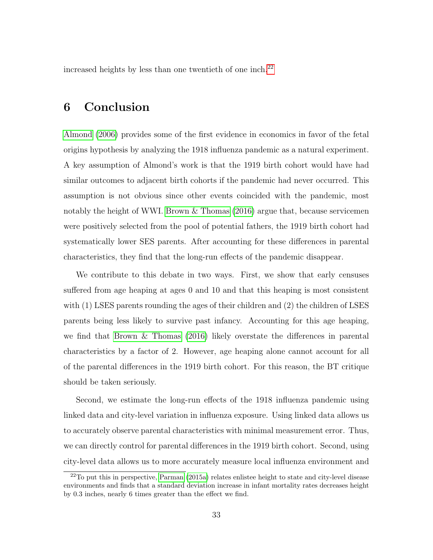increased heights by less than one twentieth of one inch.<sup>[22](#page--1-0)</sup>

### 6 Conclusion

[Almond \(2006\)](#page-36-0) provides some of the first evidence in economics in favor of the fetal origins hypothesis by analyzing the 1918 influenza pandemic as a natural experiment. A key assumption of Almond's work is that the 1919 birth cohort would have had similar outcomes to adjacent birth cohorts if the pandemic had never occurred. This assumption is not obvious since other events coincided with the pandemic, most notably the height of WWI. [Brown & Thomas \(2016\)](#page-36-3) argue that, because servicemen were positively selected from the pool of potential fathers, the 1919 birth cohort had systematically lower SES parents. After accounting for these differences in parental characteristics, they find that the long-run effects of the pandemic disappear.

We contribute to this debate in two ways. First, we show that early censuses suffered from age heaping at ages 0 and 10 and that this heaping is most consistent with (1) LSES parents rounding the ages of their children and (2) the children of LSES parents being less likely to survive past infancy. Accounting for this age heaping, we find that [Brown & Thomas \(2016\)](#page-36-3) likely overstate the differences in parental characteristics by a factor of 2. However, age heaping alone cannot account for all of the parental differences in the 1919 birth cohort. For this reason, the BT critique should be taken seriously.

Second, we estimate the long-run effects of the 1918 influenza pandemic using linked data and city-level variation in influenza exposure. Using linked data allows us to accurately observe parental characteristics with minimal measurement error. Thus, we can directly control for parental differences in the 1919 birth cohort. Second, using city-level data allows us to more accurately measure local influenza environment and

<sup>22</sup>To put this in perspective, [Parman](#page-37-13) [\(2015a\)](#page-37-13) relates enlistee height to state and city-level disease environments and finds that a standard deviation increase in infant mortality rates decreases height by 0.3 inches, nearly 6 times greater than the effect we find.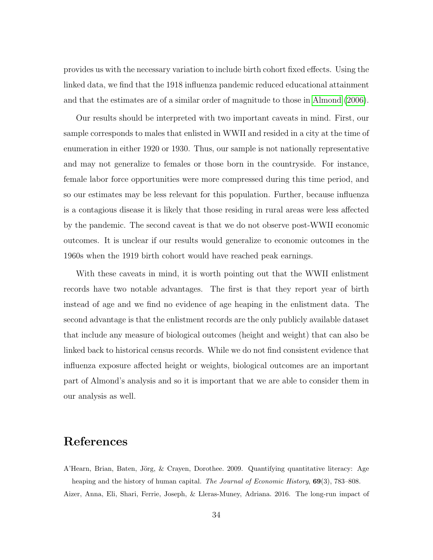provides us with the necessary variation to include birth cohort fixed effects. Using the linked data, we find that the 1918 influenza pandemic reduced educational attainment and that the estimates are of a similar order of magnitude to those in [Almond \(2006\)](#page-36-0).

Our results should be interpreted with two important caveats in mind. First, our sample corresponds to males that enlisted in WWII and resided in a city at the time of enumeration in either 1920 or 1930. Thus, our sample is not nationally representative and may not generalize to females or those born in the countryside. For instance, female labor force opportunities were more compressed during this time period, and so our estimates may be less relevant for this population. Further, because influenza is a contagious disease it is likely that those residing in rural areas were less affected by the pandemic. The second caveat is that we do not observe post-WWII economic outcomes. It is unclear if our results would generalize to economic outcomes in the 1960s when the 1919 birth cohort would have reached peak earnings.

With these caveats in mind, it is worth pointing out that the WWII enlistment records have two notable advantages. The first is that they report year of birth instead of age and we find no evidence of age heaping in the enlistment data. The second advantage is that the enlistment records are the only publicly available dataset that include any measure of biological outcomes (height and weight) that can also be linked back to historical census records. While we do not find consistent evidence that influenza exposure affected height or weights, biological outcomes are an important part of Almond's analysis and so it is important that we are able to consider them in our analysis as well.

## References

<span id="page-35-1"></span><span id="page-35-0"></span>A'Hearn, Brian, Baten, Jörg, & Crayen, Dorothee. 2009. Quantifying quantitative literacy: Age heaping and the history of human capital. The Journal of Economic History, 69(3), 783–808. Aizer, Anna, Eli, Shari, Ferrie, Joseph, & Lleras-Muney, Adriana. 2016. The long-run impact of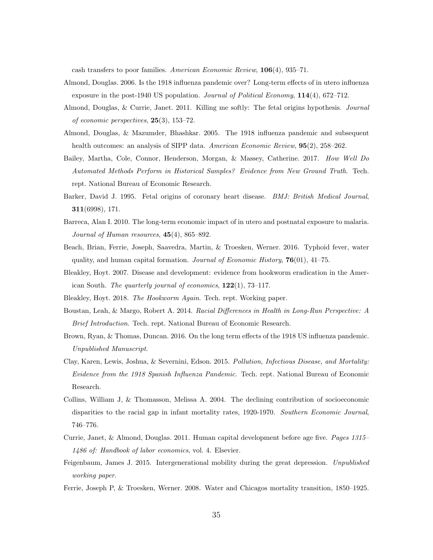cash transfers to poor families. American Economic Review, 106(4), 935–71.

- <span id="page-36-0"></span>Almond, Douglas. 2006. Is the 1918 influenza pandemic over? Long-term effects of in utero influenza exposure in the post-1940 US population. *Journal of Political Economy*,  $114(4)$ ,  $672-712$ .
- <span id="page-36-4"></span>Almond, Douglas, & Currie, Janet. 2011. Killing me softly: The fetal origins hypothesis. Journal of economic perspectives,  $25(3)$ , 153-72.
- <span id="page-36-2"></span>Almond, Douglas, & Mazumder, Bhashkar. 2005. The 1918 influenza pandemic and subsequent health outcomes: an analysis of SIPP data. American Economic Review, **95**(2), 258–262.
- <span id="page-36-12"></span>Bailey, Martha, Cole, Connor, Henderson, Morgan, & Massey, Catherine. 2017. How Well Do Automated Methods Perform in Historical Samples? Evidence from New Ground Truth. Tech. rept. National Bureau of Economic Research.
- <span id="page-36-1"></span>Barker, David J. 1995. Fetal origins of coronary heart disease. BMJ: British Medical Journal, 311(6998), 171.
- <span id="page-36-6"></span>Barreca, Alan I. 2010. The long-term economic impact of in utero and postnatal exposure to malaria. Journal of Human resources,  $45(4)$ , 865–892.
- <span id="page-36-7"></span>Beach, Brian, Ferrie, Joseph, Saavedra, Martin, & Troesken, Werner. 2016. Typhoid fever, water quality, and human capital formation. Journal of Economic History,  $76(01)$ ,  $41-75$ .
- <span id="page-36-5"></span>Bleakley, Hoyt. 2007. Disease and development: evidence from hookworm eradication in the American South. The quarterly journal of economics,  $122(1)$ , 73–117.
- <span id="page-36-10"></span><span id="page-36-8"></span>Bleakley, Hoyt. 2018. The Hookworm Again. Tech. rept. Working paper.
- Boustan, Leah, & Margo, Robert A. 2014. Racial Differences in Health in Long-Run Perspective: A Brief Introduction. Tech. rept. National Bureau of Economic Research.
- <span id="page-36-3"></span>Brown, Ryan, & Thomas, Duncan. 2016. On the long term effects of the 1918 US influenza pandemic. Unpublished Manuscript.
- <span id="page-36-13"></span>Clay, Karen, Lewis, Joshua, & Severnini, Edson. 2015. Pollution, Infectious Disease, and Mortality: Evidence from the 1918 Spanish Influenza Pandemic. Tech. rept. National Bureau of Economic Research.
- <span id="page-36-9"></span>Collins, William J, & Thomasson, Melissa A. 2004. The declining contribution of socioeconomic disparities to the racial gap in infant mortality rates, 1920-1970. Southern Economic Journal, 746–776.
- <span id="page-36-15"></span>Currie, Janet, & Almond, Douglas. 2011. Human capital development before age five. Pages 1315– 1486 of: Handbook of labor economics, vol. 4. Elsevier.
- <span id="page-36-11"></span>Feigenbaum, James J. 2015. Intergenerational mobility during the great depression. Unpublished working paper.
- <span id="page-36-14"></span>Ferrie, Joseph P, & Troesken, Werner. 2008. Water and Chicagos mortality transition, 1850–1925.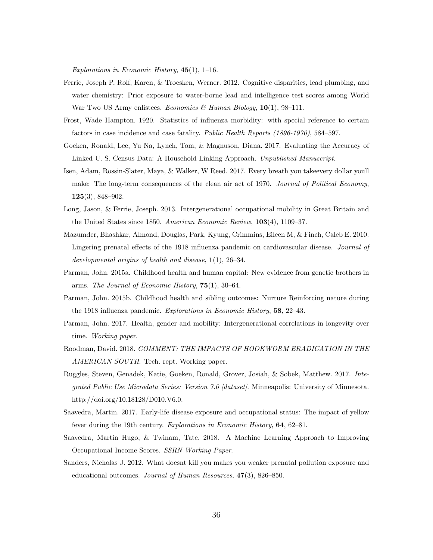Explorations in Economic History,  $45(1)$ , 1–16.

- <span id="page-37-7"></span>Ferrie, Joseph P, Rolf, Karen, & Troesken, Werner. 2012. Cognitive disparities, lead plumbing, and water chemistry: Prior exposure to water-borne lead and intelligence test scores among World War Two US Army enlistees. Economics & Human Biology,  $10(1)$ , 98-111.
- <span id="page-37-9"></span>Frost, Wade Hampton. 1920. Statistics of influenza morbidity: with special reference to certain factors in case incidence and case fatality. Public Health Reports (1896-1970), 584–597.
- <span id="page-37-8"></span>Goeken, Ronald, Lee, Yu Na, Lynch, Tom, & Magnuson, Diana. 2017. Evaluating the Accuracy of Linked U. S. Census Data: A Household Linking Approach. Unpublished Manuscript.
- <span id="page-37-11"></span>Isen, Adam, Rossin-Slater, Maya, & Walker, W Reed. 2017. Every breath you takeevery dollar youll make: The long-term consequences of the clean air act of 1970. Journal of Political Economy, 125(3), 848–902.
- <span id="page-37-6"></span>Long, Jason, & Ferrie, Joseph. 2013. Intergenerational occupational mobility in Great Britain and the United States since 1850. American Economic Review, 103(4), 1109–37.
- <span id="page-37-12"></span>Mazumder, Bhashkar, Almond, Douglas, Park, Kyung, Crimmins, Eileen M, & Finch, Caleb E. 2010. Lingering prenatal effects of the 1918 influenza pandemic on cardiovascular disease. Journal of developmental origins of health and disease, 1(1), 26–34.
- <span id="page-37-13"></span>Parman, John. 2015a. Childhood health and human capital: New evidence from genetic brothers in arms. The Journal of Economic History,  $75(1)$ , 30–64.
- <span id="page-37-5"></span>Parman, John. 2015b. Childhood health and sibling outcomes: Nurture Reinforcing nature during the 1918 influenza pandemic. Explorations in Economic History, 58, 22–43.
- <span id="page-37-2"></span>Parman, John. 2017. Health, gender and mobility: Intergenerational correlations in longevity over time. Working paper.
- <span id="page-37-1"></span>Roodman, David. 2018. COMMENT: THE IMPACTS OF HOOKWORM ERADICATION IN THE AMERICAN SOUTH. Tech. rept. Working paper.
- <span id="page-37-3"></span>Ruggles, Steven, Genadek, Katie, Goeken, Ronald, Grover, Josiah, & Sobek, Matthew. 2017. Integrated Public Use Microdata Series: Version 7.0 [dataset]. Minneapolis: University of Minnesota. http://doi.org/10.18128/D010.V6.0.
- <span id="page-37-0"></span>Saavedra, Martin. 2017. Early-life disease exposure and occupational status: The impact of yellow fever during the 19th century. Explorations in Economic History, 64, 62–81.
- <span id="page-37-4"></span>Saavedra, Martin Hugo, & Twinam, Tate. 2018. A Machine Learning Approach to Improving Occupational Income Scores. SSRN Working Paper.
- <span id="page-37-10"></span>Sanders, Nicholas J. 2012. What doesnt kill you makes you weaker prenatal pollution exposure and educational outcomes. Journal of Human Resources, 47(3), 826–850.